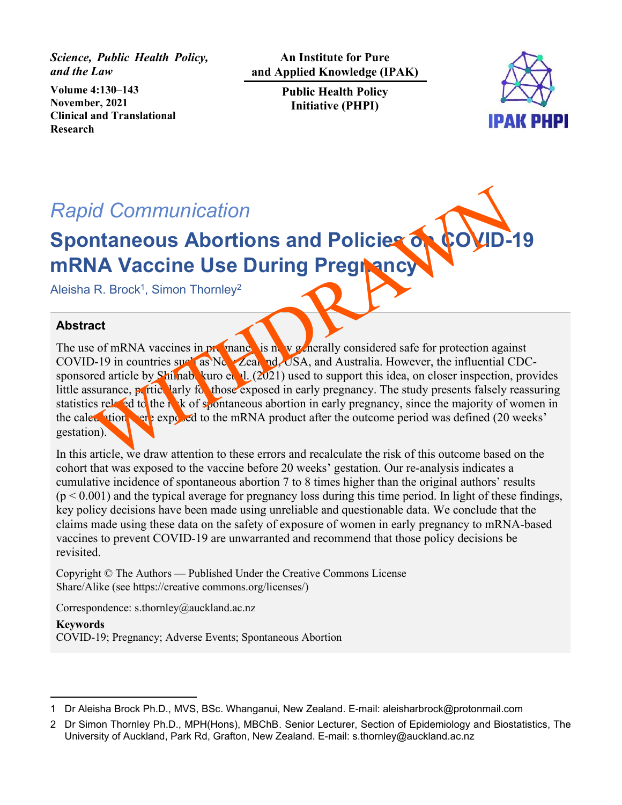*Science, Public Health Policy, and the Law*

**Volume 4:130–143 November, 2021 Clinical and Translational Research**

**An Institute for Pure and Applied Knowledge (IPAK)** 

> **Public Health Policy Initiative (PHPI)**



# *Rapid Communication*

# **Spontaneous Abortions and Policies of mRNA Vaccine Use During Pregnanc**

Aleisha R. Brock<sup>1</sup>, Simon Thornley<sup>2</sup>

## **Abstract**

The use of mRNA vaccines in propagation is now generally considered safe for protection against COVID-19 in countries such as  $N_{\rm c}$   $\chi$   $\alpha$   $\eta$ ,  $\chi$   $\beta$ SA, and Australia. However, the influential CDCsponsored article by Shimabukuro et 1.  $(2021)$  used to support this idea, on closer inspection, provides little assurance, **p** rtice larly for those exposed in early pregnancy. The study presents falsely reassuring statistics related to the r<sub>isk</sub> of spontaneous abortion in early pregnancy, since the majority of women in the calculation were exposed to the mRNA product after the outcome period was defined (20 weeks' gestation). id Communication<br>
NA Vaccine Use During Pregnetory<br>
R. Brock<sup>1</sup>, Simon Thornley<sup>2</sup><br>
R. Brock<sup>1</sup>, Simon Thornley<sup>2</sup><br>
act<br>
e of mRNA vaccines in px mane is a vegetary considered safe for protection again<br>
D-19 in countries s

In this article, we draw attention to these errors and recalculate the risk of this outcome based on the cohort that was exposed to the vaccine before 20 weeks' gestation. Our re-analysis indicates a cumulative incidence of spontaneous abortion 7 to 8 times higher than the original authors' results  $(p \le 0.001)$  and the typical average for pregnancy loss during this time period. In light of these findings, key policy decisions have been made using unreliable and questionable data. We conclude that the claims made using these data on the safety of exposure of women in early pregnancy to mRNA-based vaccines to prevent COVID-19 are unwarranted and recommend that those policy decisions be revisited.

Copyright © The Authors — Published Under the Creative Commons License Share/Alike (see https://creative commons.org/licenses/)

Correspondence: s.thornley@auckland.ac.nz

**Keywords** COVID-19; Pregnancy; Adverse Events; Spontaneous Abortion

<sup>1</sup> Dr Aleisha Brock Ph.D., MVS, BSc. Whanganui, New Zealand. E-mail: aleisharbrock@protonmail.com

<sup>2</sup> Dr Simon Thornley Ph.D., MPH(Hons), MBChB. Senior Lecturer, Section of Epidemiology and Biostatistics, The University of Auckland, Park Rd, Grafton, New Zealand. E-mail: s.thornley@auckland.ac.nz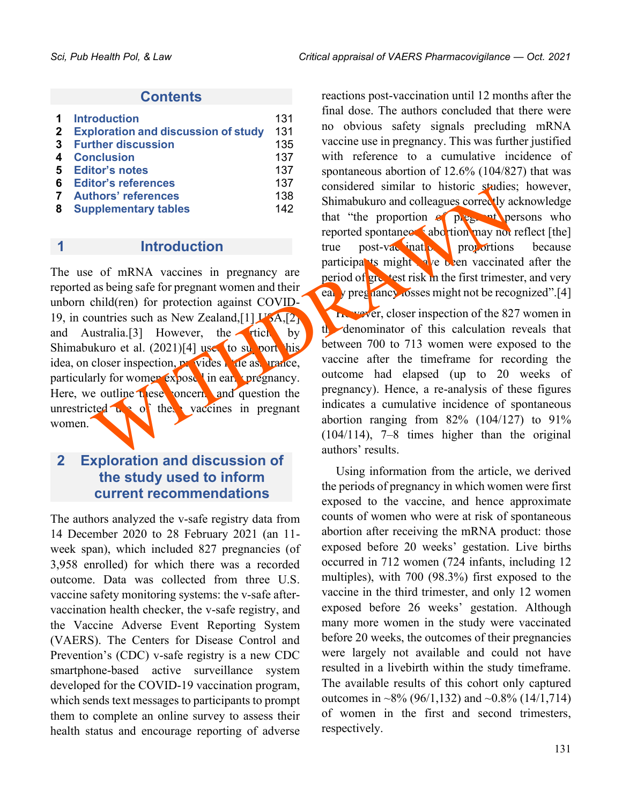#### **Contents**

| 1           | <b>Introduction</b>                        | 131 |
|-------------|--------------------------------------------|-----|
| $\mathbf 2$ | <b>Exploration and discussion of study</b> | 131 |
| 3           | <b>Further discussion</b>                  | 135 |
| 4           | <b>Conclusion</b>                          | 137 |
| 5           | <b>Editor's notes</b>                      | 137 |
| 6           | <b>Editor's references</b>                 | 137 |
|             | <b>Authors' references</b>                 | 138 |
| 8           | <b>Supplementary tables</b>                | 142 |

#### **1 Introduction**

The use of mRNA vaccines in pregnancy are reported as being safe for pregnant women and their unborn child(ren) for protection against COVID-19, in countries such as New Zealand,  $[1]$  U<sub>2</sub>A,  $[2]$ and Australia.[3] However, the ticle by Shimabukuro et al.  $(2021)[4]$  used to support his idea, on closer inspection, provides little assurance, particularly for women  $\exp\left(-\frac{1}{2}\right)$  in early pregnancy. Here, we outline  $\mathbf{u}$  ese concerns and question the unrestricted  $\mathbf{u}$  of the vaccines in pregnant women. thors' references<br>
pplementary tables<br>
that "the proportion and colleagues correctly a<br>
that "the proportion as the three control true post-variant to make the<br>
throduction<br>
or mRNA vaccines in pregnancy are<br>
and their tri

# **2 Exploration and discussion of the study used to inform current recommendations**

The authors analyzed the v-safe registry data from 14 December 2020 to 28 February 2021 (an 11 week span), which included 827 pregnancies (of 3,958 enrolled) for which there was a recorded outcome. Data was collected from three U.S. vaccine safety monitoring systems: the v-safe aftervaccination health checker, the v-safe registry, and the Vaccine Adverse Event Reporting System (VAERS). The Centers for Disease Control and Prevention's (CDC) v-safe registry is a new CDC smartphone-based active surveillance system developed for the COVID-19 vaccination program, which sends text messages to participants to prompt them to complete an online survey to assess their health status and encourage reporting of adverse reactions post-vaccination until 12 months after the final dose. The authors concluded that there were no obvious safety signals precluding mRNA vaccine use in pregnancy. This was further justified with reference to a cumulative incidence of spontaneous abortion of 12.6% (104/827) that was considered similar to historic studies; however, Shimabukuro and colleagues correctly acknowledge that "the proportion  $\epsilon$ " pregnant persons who reported spontaneous abortion may not reflect  $[the]$ true post-vac ination proportions because participants might  $\mathbf{h}$  been vaccinated after the period of greatest risk in the first trimester, and very early pregnancy losses might not be recognized".[4] However, closer inspection of the 827 women in

the denominator of this calculation reveals that between 700 to 713 women were exposed to the vaccine after the timeframe for recording the outcome had elapsed (up to 20 weeks of pregnancy). Hence, a re-analysis of these figures indicates a cumulative incidence of spontaneous abortion ranging from  $82\%$  (104/127) to 91% (104/114), 7–8 times higher than the original authors' results.

Using information from the article, we derived the periods of pregnancy in which women were first exposed to the vaccine, and hence approximate counts of women who were at risk of spontaneous abortion after receiving the mRNA product: those exposed before 20 weeks' gestation. Live births occurred in 712 women (724 infants, including 12 multiples), with 700 (98.3%) first exposed to the vaccine in the third trimester, and only 12 women exposed before 26 weeks' gestation. Although many more women in the study were vaccinated before 20 weeks, the outcomes of their pregnancies were largely not available and could not have resulted in a livebirth within the study timeframe. The available results of this cohort only captured outcomes in ~8% (96/1,132) and ~0.8% (14/1,714) of women in the first and second trimesters, respectively.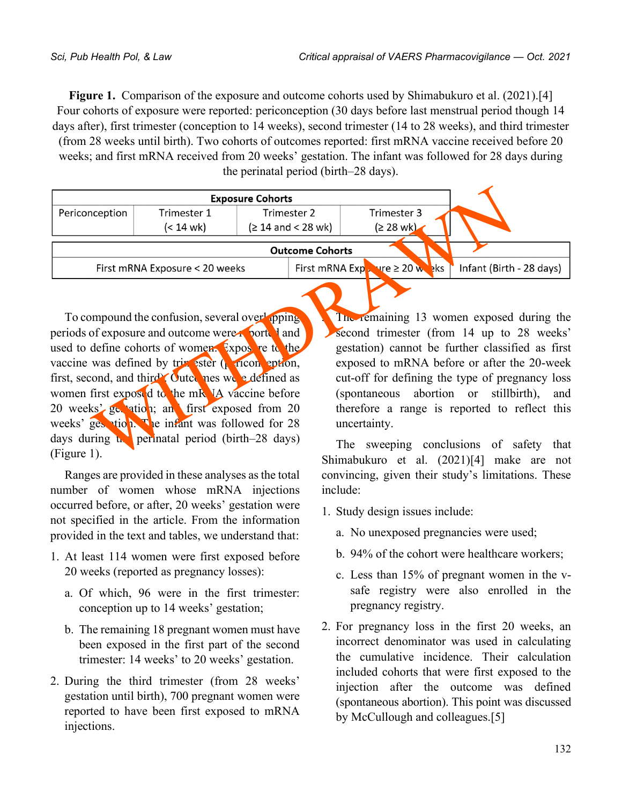**Figure 1.** Comparison of the exposure and outcome cohorts used by Shimabukuro et al. (2021).[4] Four cohorts of exposure were reported: periconception (30 days before last menstrual period though 14 days after), first trimester (conception to 14 weeks), second trimester (14 to 28 weeks), and third trimester (from 28 weeks until birth). Two cohorts of outcomes reported: first mRNA vaccine received before 20 weeks; and first mRNA received from 20 weeks' gestation. The infant was followed for 28 days during the perinatal period (birth–28 days).

|                |                                                                                                                                                                                                                                                                                                                                                                                                                                                                                                           | <b>Exposure Cohorts</b> |                        |                                       |                                                                                                                                                                                                                                                                                                                                                                                          |
|----------------|-----------------------------------------------------------------------------------------------------------------------------------------------------------------------------------------------------------------------------------------------------------------------------------------------------------------------------------------------------------------------------------------------------------------------------------------------------------------------------------------------------------|-------------------------|------------------------|---------------------------------------|------------------------------------------------------------------------------------------------------------------------------------------------------------------------------------------------------------------------------------------------------------------------------------------------------------------------------------------------------------------------------------------|
| Periconception | Trimester 1                                                                                                                                                                                                                                                                                                                                                                                                                                                                                               | Trimester 2             |                        | Trimester 3                           |                                                                                                                                                                                                                                                                                                                                                                                          |
|                | (< 14 wk)                                                                                                                                                                                                                                                                                                                                                                                                                                                                                                 | $(≥ 14$ and < 28 wk)    |                        | $(228 \text{ wk})$                    |                                                                                                                                                                                                                                                                                                                                                                                          |
|                |                                                                                                                                                                                                                                                                                                                                                                                                                                                                                                           |                         | <b>Outcome Cohorts</b> |                                       |                                                                                                                                                                                                                                                                                                                                                                                          |
|                | First mRNA Exposure < 20 weeks                                                                                                                                                                                                                                                                                                                                                                                                                                                                            |                         |                        | First mRNA $Exp$ , $ve \ge 20$ we sks | Infant (Birth - 28 days)                                                                                                                                                                                                                                                                                                                                                                 |
|                | To compound the confusion, several overlapping<br>periods of exposure and outcome were <b>ported</b> and<br>used to define cohorts of women. Exposite to the<br>vaccine was defined by trim ester $(k \text{ ricon}$ eption,<br>first, second, and third <sup>b</sup> Outed nes we edefined as<br>women first exposed to the mR IA vaccine before<br>20 weeks' get ation; and first exposed from 20<br>weeks' gestion. The infant was followed for 28<br>days during the perinatal period (birth-28 days) |                         |                        | uncertainty.                          | The remaining 13 women exposed during the<br>second trimester (from 14 up to 28 weeks'<br>gestation) cannot be further classified as first<br>exposed to mRNA before or after the 20-week<br>cut-off for defining the type of pregnancy loss<br>(spontaneous abortion or stillbirth),<br>and<br>therefore a range is reported to reflect this<br>The sweeping conclusions of safety that |
| (Figure 1).    |                                                                                                                                                                                                                                                                                                                                                                                                                                                                                                           |                         |                        |                                       | Shimabukuro et al $(2021)\text{Id}$ make are not                                                                                                                                                                                                                                                                                                                                         |

Ranges are provided in these analyses as the total number of women whose mRNA injections occurred before, or after, 20 weeks' gestation were not specified in the article. From the information provided in the text and tables, we understand that:

- 1. At least 114 women were first exposed before 20 weeks (reported as pregnancy losses):
	- a. Of which, 96 were in the first trimester: conception up to 14 weeks' gestation;
	- b. The remaining 18 pregnant women must have been exposed in the first part of the second trimester: 14 weeks' to 20 weeks' gestation.
- 2. During the third trimester (from 28 weeks' gestation until birth), 700 pregnant women were reported to have been first exposed to mRNA injections.

The sweeping conclusions of safety that Shimabukuro et al. (2021)[4] make are not convincing, given their study's limitations. These include:

- 1. Study design issues include:
	- a. No unexposed pregnancies were used;
	- b. 94% of the cohort were healthcare workers;
	- c. Less than 15% of pregnant women in the vsafe registry were also enrolled in the pregnancy registry.
- 2. For pregnancy loss in the first 20 weeks, an incorrect denominator was used in calculating the cumulative incidence. Their calculation included cohorts that were first exposed to the injection after the outcome was defined (spontaneous abortion). This point was discussed by McCullough and colleagues.[5]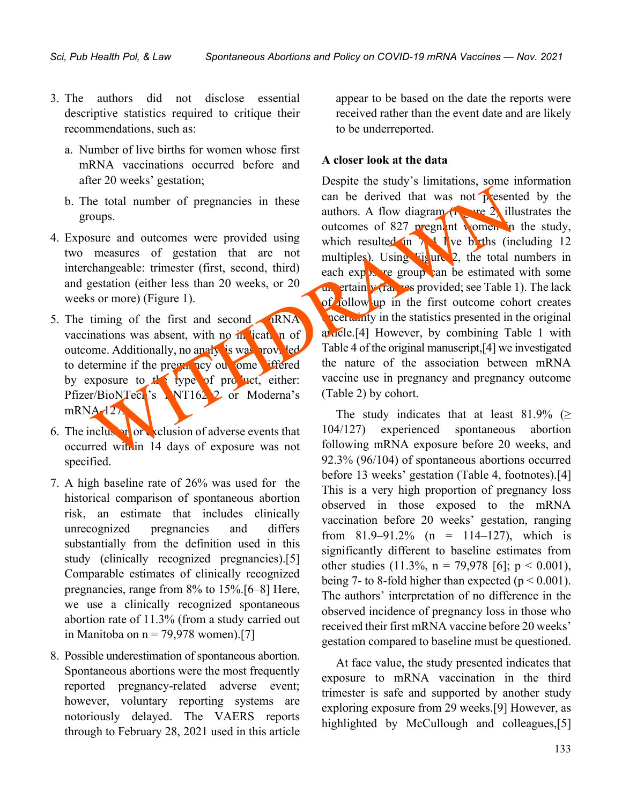- 3. The authors did not disclose essential descriptive statistics required to critique their recommendations, such as:
	- a. Number of live births for women whose first mRNA vaccinations occurred before and after 20 weeks' gestation;
	- b. The total number of pregnancies in these groups.
- 4. Exposure and outcomes were provided using two measures of gestation that are not interchangeable: trimester (first, second, third) and gestation (either less than 20 weeks, or 20 weeks or more) (Figure 1).
- 5. The timing of the first and second  $\bigcap$  RNA vaccinations was absent, with no  $\overline{m}$  ication of outcome. Additionally, no analy is was provided to determine if the pregnancy out ome differed by exposure to  $t$  type of product, either: Pfizer/BioNTech's NT162<sub>2</sub> or Moderna's  $mRNA-127$
- 6. The inclusion of adverse events that occurred within 14 days of exposure was not specified.
- 7. A high baseline rate of 26% was used for the historical comparison of spontaneous abortion risk, an estimate that includes clinically unrecognized pregnancies and differs substantially from the definition used in this study (clinically recognized pregnancies).[5] Comparable estimates of clinically recognized pregnancies, range from 8% to 15%.[6–8] Here, we use a clinically recognized spontaneous abortion rate of 11.3% (from a study carried out in Manitoba on  $n = 79,978$  women).[7]
- 8. Possible underestimation of spontaneous abortion. Spontaneous abortions were the most frequently reported pregnancy-related adverse event; however, voluntary reporting systems are notoriously delayed. The VAERS reports through to February 28, 2021 used in this article

appear to be based on the date the reports were received rather than the event date and are likely to be underreported.

#### **A closer look at the data**

Despite the study's limitations, some information can be derived that was not presented by the authors. A flow diagram  $\left(\frac{1}{100}\right)^{1/2}$  illustrates the outcomes of 827 pregnant women in the study, which resulted in  $\lambda$ <sup>4</sup> live births (including 12 multiples). Using Figure 2, the total numbers in each  $\exp\left(\frac{1}{2}x\right)$  regroup can be estimated with some  $u_n$  ertain  $v$  (ranges provided; see Table 1). The lack of follow up in the first outcome cohort creates uncertainty in the statistics presented in the original article.<sup>[4]</sup> However, by combining Table 1 with Table 4 of the original manuscript,[4] we investigated the nature of the association between mRNA vaccine use in pregnancy and pregnancy outcome (Table 2) by cohort. the total number of pregnancies in these can be derived that was not present<br>outps.<br>
sure and outcomes were provided using which results of a buttomes of 827 pregnant Nomea. In<br>
sure and outcomes were provided using which

The study indicates that at least 81.9% ( $\geq$ 104/127) experienced spontaneous abortion following mRNA exposure before 20 weeks, and 92.3% (96/104) of spontaneous abortions occurred before 13 weeks' gestation (Table 4, footnotes).[4] This is a very high proportion of pregnancy loss observed in those exposed to the mRNA vaccination before 20 weeks' gestation, ranging from  $81.9-91.2\%$  (n = 114-127), which is significantly different to baseline estimates from other studies  $(11.3\%, n = 79.978 \, [6]; p < 0.001)$ , being 7- to 8-fold higher than expected ( $p < 0.001$ ). The authors' interpretation of no difference in the observed incidence of pregnancy loss in those who received their first mRNA vaccine before 20 weeks' gestation compared to baseline must be questioned.

At face value, the study presented indicates that exposure to mRNA vaccination in the third trimester is safe and supported by another study exploring exposure from 29 weeks.[9] However, as highlighted by McCullough and colleagues,[5]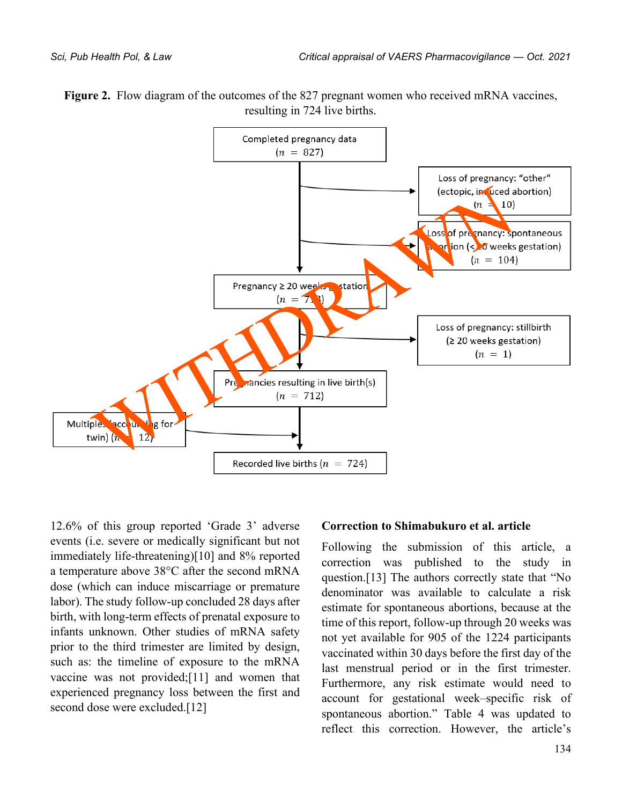

**Figure 2.** Flow diagram of the outcomes of the 827 pregnant women who received mRNA vaccines, resulting in 724 live births.

12.6% of this group reported 'Grade 3' adverse events (i.e. severe or medically significant but not immediately life-threatening)[10] and 8% reported a temperature above 38°C after the second mRNA dose (which can induce miscarriage or premature labor). The study follow-up concluded 28 days after birth, with long-term effects of prenatal exposure to infants unknown. Other studies of mRNA safety prior to the third trimester are limited by design, such as: the timeline of exposure to the mRNA vaccine was not provided;[11] and women that experienced pregnancy loss between the first and second dose were excluded.[12]

#### **Correction to Shimabukuro et al. article**

Following the submission of this article, a correction was published to the study in question.[13] The authors correctly state that "No denominator was available to calculate a risk estimate for spontaneous abortions, because at the time of this report, follow-up through 20 weeks was not yet available for 905 of the 1224 participants vaccinated within 30 days before the first day of the last menstrual period or in the first trimester. Furthermore, any risk estimate would need to account for gestational week–specific risk of spontaneous abortion." Table 4 was updated to reflect this correction. However, the article's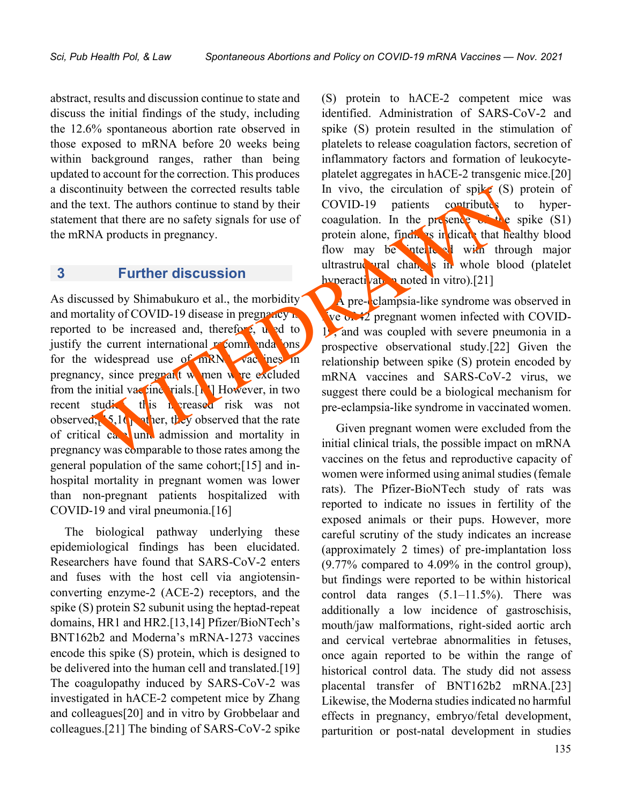abstract, results and discussion continue to state and discuss the initial findings of the study, including the 12.6% spontaneous abortion rate observed in those exposed to mRNA before 20 weeks being within background ranges, rather than being updated to account for the correction. This produces a discontinuity between the corrected results table and the text. The authors continue to stand by their statement that there are no safety signals for use of the mRNA products in pregnancy.

### **3 Further discussion**

As discussed by Shimabukuro et al., the morbidity and mortality of COVID-19 disease in pregnancy  $\mathbf{r}$ reported to be increased and, therefore,  $\mathbf{u}$  and to justify the current international recommendations. for the widespread use of  $mRN$  vac nes in pregnancy, since pregnant women were excluded from the initial vactine rials. $\lceil \cdot \rceil$  However, in two recent studies, this h creased risk was not observed;  $\frac{1}{2}$ ,  $\frac{1}{2}$  of her, they observed that the rate of critical  $ca$ , unit admission and mortality in pregnancy was comparable to those rates among the general population of the same cohort;[15] and inhospital mortality in pregnant women was lower than non-pregnant patients hospitalized with COVID-19 and viral pneumonia.[16] the street of the state of the state of the street and mortality in the street and mortality of COVID-19 discuss in pregnancy.<br>
We are the street as a state of the street and by their covariant that there are no safety sig

The biological pathway underlying these epidemiological findings has been elucidated. Researchers have found that SARS-CoV-2 enters and fuses with the host cell via angiotensinconverting enzyme-2 (ACE-2) receptors, and the spike (S) protein S2 subunit using the heptad-repeat domains, HR1 and HR2.[13,14] Pfizer/BioNTech's BNT162b2 and Moderna's mRNA-1273 vaccines encode this spike (S) protein, which is designed to be delivered into the human cell and translated.[19] The coagulopathy induced by SARS-CoV-2 was investigated in hACE-2 competent mice by Zhang and colleagues[20] and in vitro by Grobbelaar and colleagues.[21] The binding of SARS-CoV-2 spike (S) protein to hACE-2 competent mice was identified. Administration of SARS-CoV-2 and spike (S) protein resulted in the stimulation of platelets to release coagulation factors, secretion of inflammatory factors and formation of leukocyteplatelet aggregates in hACE-2 transgenic mice.[20] In vivo, the circulation of spike  $(S)$  protein of COVID-19 patients contributes to hypercoagulation. In the presence  $\mathbb{C}^*$  the spike (S1) protein alone, findings in dicate that healthy blood flow may be interfered with through major ultrastructural changes in whole blood (platelet hyperactivation noted in vitro).<sup>[21]</sup>

A pre-eclampsia-like syndrome was observed in **ive of 42** pregnant women infected with COVID-19, and was coupled with severe pneumonia in a prospective observational study.[22] Given the relationship between spike (S) protein encoded by mRNA vaccines and SARS-CoV-2 virus, we suggest there could be a biological mechanism for pre-eclampsia-like syndrome in vaccinated women.

Given pregnant women were excluded from the initial clinical trials, the possible impact on mRNA vaccines on the fetus and reproductive capacity of women were informed using animal studies (female rats). The Pfizer-BioNTech study of rats was reported to indicate no issues in fertility of the exposed animals or their pups. However, more careful scrutiny of the study indicates an increase (approximately 2 times) of pre-implantation loss (9.77% compared to 4.09% in the control group), but findings were reported to be within historical control data ranges  $(5.1-11.5\%)$ . There was additionally a low incidence of gastroschisis, mouth/jaw malformations, right-sided aortic arch and cervical vertebrae abnormalities in fetuses, once again reported to be within the range of historical control data. The study did not assess placental transfer of BNT162b2 mRNA.[23] Likewise, the Moderna studies indicated no harmful effects in pregnancy, embryo/fetal development, parturition or post-natal development in studies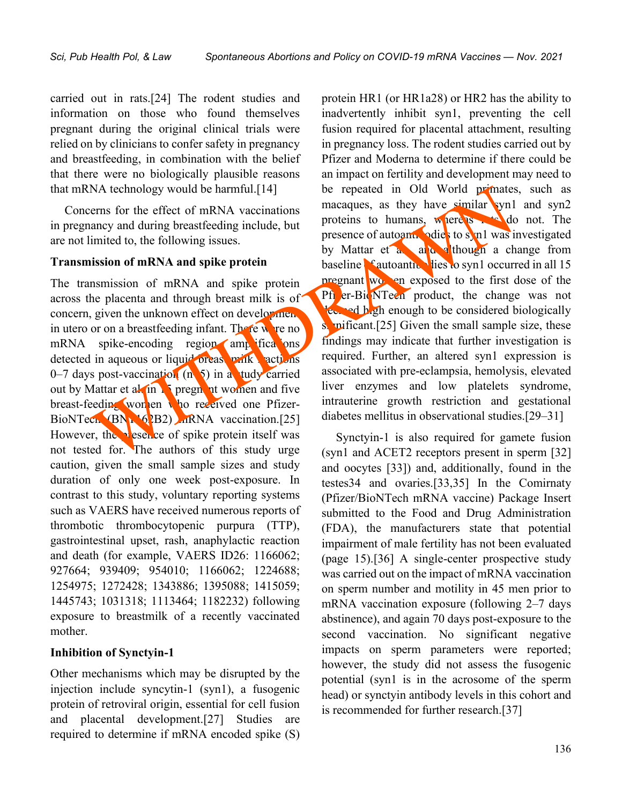carried out in rats.[24] The rodent studies and information on those who found themselves pregnant during the original clinical trials were relied on by clinicians to confer safety in pregnancy and breastfeeding, in combination with the belief that there were no biologically plausible reasons that mRNA technology would be harmful.[14]

Concerns for the effect of mRNA vaccinations in pregnancy and during breastfeeding include, but are not limited to, the following issues.

#### **Transmission of mRNA and spike protein**

The transmission of mRNA and spike protein across the placenta and through breast milk is of concern, given the unknown effect on development in utero or on a breastfeeding infant. There we re no  $mRNA$  spike-encoding region amplifications detected in aqueous or liquid breast milk actions 0–7 days post-vaccination (n=5) in a tudy carried out by Mattar et al. in  $\frac{1}{2}$  pregnant women and five breast-feeding women who received one Pfizer-BioNTech (BNT<sub>162</sub>B2) mRNA vaccination.[25] However, the presence of spike protein itself was not tested for. The authors of this study urge caution, given the small sample sizes and study duration of only one week post-exposure. In contrast to this study, voluntary reporting systems such as VAERS have received numerous reports of thrombotic thrombocytopenic purpura (TTP), gastrointestinal upset, rash, anaphylactic reaction and death (for example, VAERS ID26: 1166062; 927664; 939409; 954010; 1166062; 1224688; 1254975; 1272428; 1343886; 1395088; 1415059; 1445743; 1031318; 1113464; 1182232) following exposure to breastmilk of a recently vaccinated mother.

#### **Inhibition of Synctyin-1**

Other mechanisms which may be disrupted by the injection include syncytin-1 (syn1), a fusogenic protein of retroviral origin, essential for cell fusion and placental development.[27] Studies are required to determine if mRNA encoded spike (S)

protein HR1 (or HR1a28) or HR2 has the ability to inadvertently inhibit syn1, preventing the cell fusion required for placental attachment, resulting in pregnancy loss. The rodent studies carried out by Pfizer and Moderna to determine if there could be an impact on fertility and development may need to be repeated in Old World primates, such as macaques, as they have similar syn1 and syn2 proteins to humans, whereas rats do not. The presence of autoantical odies to syn1 was investigated by Mattar et  $a_n$ , and a though a change from baseline  $\epsilon$  autoantic lies to syn1 occurred in all 15 pregnant women exposed to the first dose of the Pfi er-BioNTech product, the change was not deemed high enough to be considered biologically s. wificant.[25] Given the small sample size, these findings may indicate that further investigation is required. Further, an altered syn1 expression is associated with pre-eclampsia, hemolysis, elevated liver enzymes and low platelets syndrome, intrauterine growth restriction and gestational diabetes mellitus in observational studies.[29–31] NA technology would be harmful.[14] be repeated in Old World premates<br>
erms for the effect of mRNA vaccinations<br>
ancey and during breastfeeding include, but<br>
invited to, the following issues.<br>
invited to, the following is

Synctyin-1 is also required for gamete fusion (syn1 and ACET2 receptors present in sperm [32] and oocytes [33]) and, additionally, found in the testes34 and ovaries.[33,35] In the Comirnaty (Pfizer/BioNTech mRNA vaccine) Package Insert submitted to the Food and Drug Administration (FDA), the manufacturers state that potential impairment of male fertility has not been evaluated (page 15).[36] A single-center prospective study was carried out on the impact of mRNA vaccination on sperm number and motility in 45 men prior to mRNA vaccination exposure (following 2–7 days abstinence), and again 70 days post-exposure to the second vaccination. No significant negative impacts on sperm parameters were reported; however, the study did not assess the fusogenic potential (syn1 is in the acrosome of the sperm head) or synctyin antibody levels in this cohort and is recommended for further research.[37]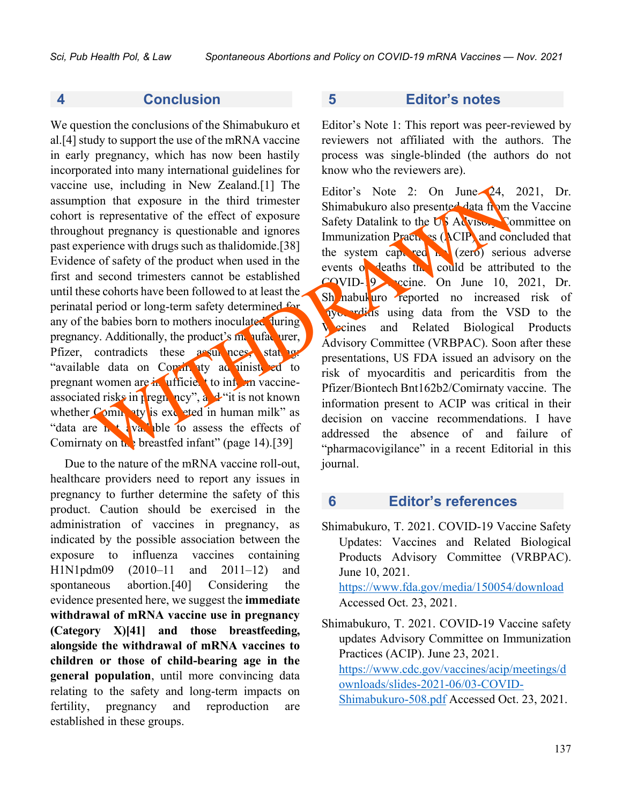### **4 Conclusion**

We question the conclusions of the Shimabukuro et al.[4] study to support the use of the mRNA vaccine in early pregnancy, which has now been hastily incorporated into many international guidelines for vaccine use, including in New Zealand.[1] The assumption that exposure in the third trimester cohort is representative of the effect of exposure throughout pregnancy is questionable and ignores past experience with drugs such as thalidomide.[38] Evidence of safety of the product when used in the first and second trimesters cannot be established until these cohorts have been followed to at least the perinatal period or long-term safety determined for any of the babies born to mothers inoculated during pregnancy. Additionally, the product's  $m$  ufacturer, Pfizer, contradicts these assurances, statings "available data on Comin aty administered to pregnant women are in ufficient to information vaccineassociated risks in pregnancy", and "it is not known" whether  $Comh$  aty is excepted in human milk" as "data are  $\mathbf{h}$  t available to assess the effects of Comirnaty on  $\mathbf{h}$  breastfed infant" (page 14).[39] Let the third in the set at an Company in the the third in the term of the term of the term of the term of the term of the term of the term of the term of the term of the term of the term of the term of the term of the te

Due to the nature of the mRNA vaccine roll-out, healthcare providers need to report any issues in pregnancy to further determine the safety of this product. Caution should be exercised in the administration of vaccines in pregnancy, as indicated by the possible association between the exposure to influenza vaccines containing H1N1pdm09 (2010–11 and 2011–12) and spontaneous abortion.[40] Considering the evidence presented here, we suggest the **immediate withdrawal of mRNA vaccine use in pregnancy (Category X)[41] and those breastfeeding, alongside the withdrawal of mRNA vaccines to children or those of child-bearing age in the general population**, until more convincing data relating to the safety and long-term impacts on fertility, pregnancy and reproduction are established in these groups.

### **5 Editor's notes**

Editor's Note 1: This report was peer-reviewed by reviewers not affiliated with the authors. The process was single-blinded (the authors do not know who the reviewers are).

Editor's Note 2: On June 24, 2021, Dr. Shimabukuro also presented data from the Vaccine Safety Datalink to the US Advisory Committee on Immunization Practices ( $ACIP$ ) and concluded that the system captured  $\mathbf{r}$  (zero) serious adverse events or deaths the could be attributed to the  $CQVID-19$  ccine. On June 10, 2021, Dr. Sh nabukuro reported no increased risk of myocarditis using data from the VSD to the **Vecines** and Related Biological Products Advisory Committee (VRBPAC). Soon after these presentations, US FDA issued an advisory on the risk of myocarditis and pericarditis from the Pfizer/Biontech Bnt162b2/Comirnaty vaccine. The information present to ACIP was critical in their decision on vaccine recommendations. I have addressed the absence of and failure of "pharmacovigilance" in a recent Editorial in this journal.

## **6 Editor's references**

Shimabukuro, T. 2021. COVID-19 Vaccine Safety Updates: Vaccines and Related Biological Products Advisory Committee (VRBPAC). June 10, 2021. <https://www.fda.gov/media/150054/download> Accessed Oct. 23, 2021.

Shimabukuro, T. 2021. COVID-19 Vaccine safety updates Advisory Committee on Immunization Practices (ACIP). June 23, 2021. [https://www.cdc.gov/vaccines/acip/meetings/d](https://www.cdc.gov/vaccines/acip/meetings/downloads/slides-2021-06/03-COVID-Shimabukuro-508.pdf) [ownloads/slides-2021-06/03-COVID-](https://www.cdc.gov/vaccines/acip/meetings/downloads/slides-2021-06/03-COVID-Shimabukuro-508.pdf)[Shimabukuro-508.pdf](https://www.cdc.gov/vaccines/acip/meetings/downloads/slides-2021-06/03-COVID-Shimabukuro-508.pdf) Accessed Oct. 23, 2021.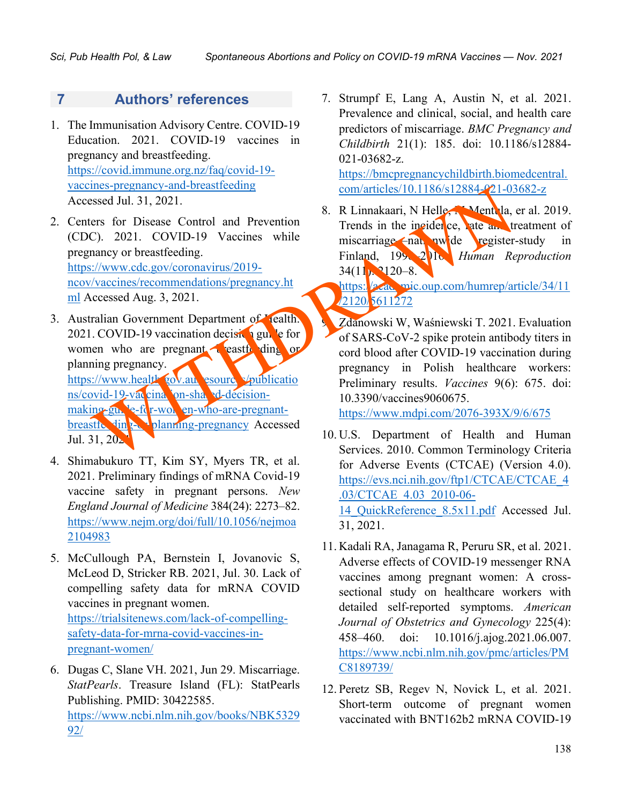## **7 Authors' references**

- 1. The Immunisation Advisory Centre. COVID-19 Education. 2021. COVID-19 vaccines in pregnancy and breastfeeding. [https://covid.immune.org.nz/faq/covid-19](https://covid.immune.org.nz/faq/covid-19-vaccines-pregnancy-and-breastfeeding) [vaccines-pregnancy-and-breastfeeding](https://covid.immune.org.nz/faq/covid-19-vaccines-pregnancy-and-breastfeeding) Accessed Jul. 31, 2021.
- 2. Centers for Disease Control and Prevention (CDC). 2021. COVID-19 Vaccines while pregnancy or breastfeeding. https://www.cdc.gov/coronavirus/2019 ncov/vaccines/recommendations/pregnancy.ht [ml](https://www.cdc.gov/coronavirus/2019-ncov/vaccines/recommendations/pregnancy.html) Accessed Aug. 3, 2021.
- 3. Australian Government Department of Health. 2021. COVID-19 vaccination decision guide for women who are pregnant, eastfelding or planning pregnancy. https://www.health.gov.au. esource voublicatio ns/covid-19-vaccination-shared-decisionmaking-guide-for-women-who-are-pregnant $b$ reastic  $\{ \ln \}$   $\}$  planning-pregnancy Accessed Jul.  $31, 20$ Example the control of the control of SARS-CoV-2 spite proteins (View And Services 2010).<br>
Tends in the insider control and Prevention<br>
C). 2021. COVID-19 Vaccines while<br>
miscraring or breastfeeding.<br>
Since the main and th
- 4. Shimabukuro TT, Kim SY, Myers TR, et al. 2021. Preliminary findings of mRNA Covid-19 vaccine safety in pregnant persons. *New England Journal of Medicine* 384(24): 2273–82. [https://www.nejm.org/doi/full/10.1056/nejmoa](https://www.nejm.org/doi/full/10.1056/nejmoa2104983) [2104983](https://www.nejm.org/doi/full/10.1056/nejmoa2104983)
- 5. McCullough PA, Bernstein I, Jovanovic S, McLeod D, Stricker RB. 2021, Jul. 30. Lack of compelling safety data for mRNA COVID vaccines in pregnant women. [https://trialsitenews.com/lack-of-compelling](https://trialsitenews.com/lack-of-compelling-safety-data-for-mrna-covid-vaccines-in-pregnant-women/)[safety-data-for-mrna-covid-vaccines-in](https://trialsitenews.com/lack-of-compelling-safety-data-for-mrna-covid-vaccines-in-pregnant-women/)[pregnant-women/](https://trialsitenews.com/lack-of-compelling-safety-data-for-mrna-covid-vaccines-in-pregnant-women/)
- 6. Dugas C, Slane VH. 2021, Jun 29. Miscarriage. *StatPearls*. Treasure Island (FL): StatPearls Publishing. PMID: 30422585. [https://www.ncbi.nlm.nih.gov/books/NBK5329](https://www.ncbi.nlm.nih.gov/books/NBK532992/) [92/](https://www.ncbi.nlm.nih.gov/books/NBK532992/)

7. Strumpf E, Lang A, Austin N, et al. 2021. Prevalence and clinical, social, and health care predictors of miscarriage. *BMC Pregnancy and Childbirth* 21(1): 185. doi: 10.1186/s12884- 021-03682-z.

[https://bmcpregnancychildbirth.biomedcentral.](https://bmcpregnancychildbirth.biomedcentral.com/articles/10.1186/s12884-021-03682-z) com/articles/10.1186/s12884-021-03682-z

8. R Linnakaari, N Helle, Mentula, er al. 2019. Trends in the incidence, rate and treatment of miscarriage—nationwide register-study in Finland, 1998–2016. *Human Reproduction*  $34(11)$ :  $2120-8$ .

[https://academic.oup.com/humrep/article/34/11](https://academic.oup.com/humrep/article/34/11/2120/5611272) /2120/5611272

9. Zdanowski W, Waśniewski T. 2021. Evaluation of SARS-CoV-2 spike protein antibody titers in cord blood after COVID-19 vaccination during pregnancy in Polish healthcare workers: Preliminary results. *Vaccines* 9(6): 675. doi: 10.3390/vaccines9060675.

https://www.mdpi.com/2076-393X/9/6/675

- 10. U.S. Department of Health and Human Services. 2010. Common Terminology Criteria for Adverse Events (CTCAE) (Version 4.0). [https://evs.nci.nih.gov/ftp1/CTCAE/CTCAE\\_4](https://evs.nci.nih.gov/ftp1/CTCAE/CTCAE_4.03/CTCAE_4.03_2010-06-14_QuickReference_8.5x11.pdf) [.03/CTCAE\\_4.03\\_2010-06-](https://evs.nci.nih.gov/ftp1/CTCAE/CTCAE_4.03/CTCAE_4.03_2010-06-14_QuickReference_8.5x11.pdf) [14\\_QuickReference\\_8.5x11.pdf](https://evs.nci.nih.gov/ftp1/CTCAE/CTCAE_4.03/CTCAE_4.03_2010-06-14_QuickReference_8.5x11.pdf) Accessed Jul. 31, 2021.
- 11. Kadali RA, Janagama R, Peruru SR, et al. 2021. Adverse effects of COVID-19 messenger RNA vaccines among pregnant women: A crosssectional study on healthcare workers with detailed self-reported symptoms. *American Journal of Obstetrics and Gynecology* 225(4): 458–460. doi: 10.1016/j.ajog.2021.06.007. [https://www.ncbi.nlm.nih.gov/pmc/articles/PM](https://www.ncbi.nlm.nih.gov/pmc/articles/PMC8189739/) [C8189739/](https://www.ncbi.nlm.nih.gov/pmc/articles/PMC8189739/)
- 12. Peretz SB, Regev N, Novick L, et al. 2021. Short-term outcome of pregnant women vaccinated with BNT162b2 mRNA COVID-19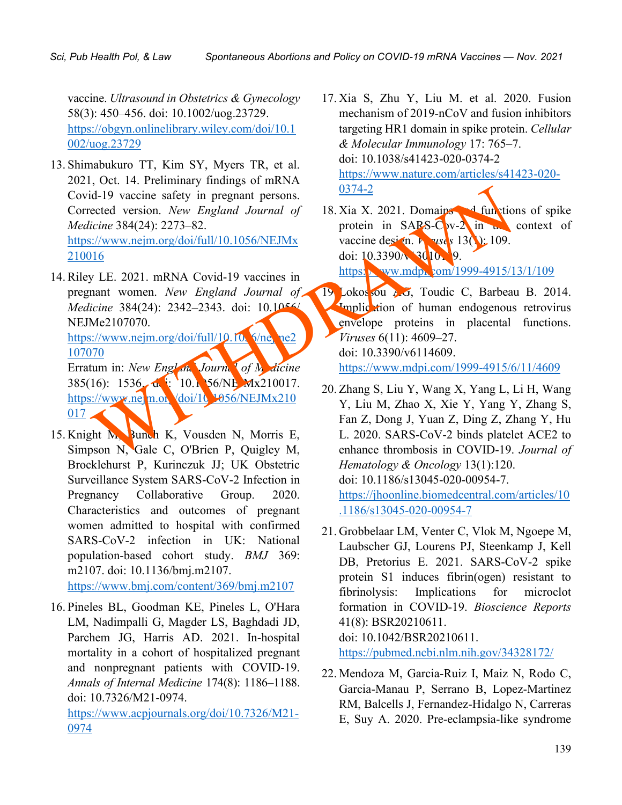vaccine. *Ultrasound in Obstetrics & Gynecology* 58(3): 450–456. doi: 10.1002/uog.23729. [https://obgyn.onlinelibrary.wiley.com/doi/10.1](https://obgyn.onlinelibrary.wiley.com/doi/10.1002/uog.23729) [002/uog.23729](https://obgyn.onlinelibrary.wiley.com/doi/10.1002/uog.23729)

- 13. Shimabukuro TT, Kim SY, Myers TR, et al. 2021, Oct. 14. Preliminary findings of mRNA Covid-19 vaccine safety in pregnant persons. Corrected version. *New England Journal of Medicine* 384(24): 2273–82. https://www.nejm.org/doi/full/10.1056/NEJMx [210016](https://www.nejm.org/doi/full/10.1056/NEJMx210016) id-19 vaccine safety in pregnant persons.<br>
ected version. New England Journal of 18. Xia X. 2021. Domains detection of the S84(24): 2273-82.<br>
W. D. Stephen (10.1056/NEJMx vaccine desired by 130). 109.<br>
116. 2021. mRNA Cov
- 14. Riley LE. 2021. mRNA Covid-19 vaccines in pregnant women. *New England Journal of Medicine* 384(24): 2342–2343. doi: 10.1056/ NEJMe2107070.

https://www.nejm.org/doi/full/10.10 $\sqrt{2}$ /ne $\sqrt{2}$ [107070](https://www.nejm.org/doi/full/10.1056/nejme2107070)

Erratum in: *New England Journal of Medicine* 385(16): 1536. de: 10.1 56/NE Mx210017. https://www.nehn.org/doi/10.1056/NEJMx210  $017$   $\triangle$ 

- 15. Knight M, Bunch K, Vousden N, Morris E, Simpson N, Gale C, O'Brien P, Quigley M, Brocklehurst P, Kurinczuk JJ; UK Obstetric Surveillance System SARS-CoV-2 Infection in Pregnancy Collaborative Group. 2020. Characteristics and outcomes of pregnant women admitted to hospital with confirmed SARS-CoV-2 infection in UK: National population-based cohort study. *BMJ* 369: m2107. doi: 10.1136/bmj.m2107. <https://www.bmj.com/content/369/bmj.m2107>
- 16. Pineles BL, Goodman KE, Pineles L, O'Hara LM, Nadimpalli G, Magder LS, Baghdadi JD, Parchem JG, Harris AD. 2021. In-hospital mortality in a cohort of hospitalized pregnant and nonpregnant patients with COVID-19. *Annals of Internal Medicine* 174(8): 1186–1188. doi: 10.7326/M21-0974.

[https://www.acpjournals.org/doi/10.7326/M21-](https://www.acpjournals.org/doi/10.7326/M21-0974) [0974](https://www.acpjournals.org/doi/10.7326/M21-0974)

17. Xia S, Zhu Y, Liu M. et al. 2020. Fusion mechanism of 2019-nCoV and fusion inhibitors targeting HR1 domain in spike protein. *Cellular & Molecular Immunology* 17: 765–7. doi: 10.1038/s41423-020-0374-2 [https://www.nature.com/articles/s41423-020-](https://www.nature.com/articles/s41423-020-0374-2) 0374-2

18. Xia X. 2021. Domains  $\triangleleft$  functions of spike protein in  $SAPS-Cov-2$  in the context of vaccine design. *V*<sub>14</sub> vses 13(1): 109. doi:  $10.3390/\sqrt{3010}$  9. https://ww.mdpi.com/1999-4915/13/1/109

- 19. Lokossou AG, Toudic C, Barbeau B. 2014. Implication of human endogenous retrovirus envelope proteins in placental functions. *Viruses* 6(11): 4609–27. doi: 10.3390/v6114609. https://www.mdpi.com/1999-4915/6/11/4609
- 20. Zhang S, Liu Y, Wang X, Yang L, Li H, Wang Y, Liu M, Zhao X, Xie Y, Yang Y, Zhang S, Fan Z, Dong J, Yuan Z, Ding Z, Zhang Y, Hu L. 2020. SARS-CoV-2 binds platelet ACE2 to enhance thrombosis in COVID-19. *Journal of Hematology & Oncology* 13(1):120. doi: 10.1186/s13045-020-00954-7. [https://jhoonline.biomedcentral.com/articles/10](https://jhoonline.biomedcentral.com/articles/10.1186/s13045-020-00954-7) [.1186/s13045-020-00954-7](https://jhoonline.biomedcentral.com/articles/10.1186/s13045-020-00954-7)
- 21. Grobbelaar LM, Venter C, Vlok M, Ngoepe M, Laubscher GJ, Lourens PJ, Steenkamp J, Kell DB, Pretorius E. 2021. SARS-CoV-2 spike protein S1 induces fibrin(ogen) resistant to fibrinolysis: Implications for microclot formation in COVID-19. *Bioscience Reports* 41(8): BSR20210611. doi: 10.1042/BSR20210611. <https://pubmed.ncbi.nlm.nih.gov/34328172/>
- 22. Mendoza M, Garcia-Ruiz I, Maiz N, Rodo C, Garcia-Manau P, Serrano B, Lopez-Martinez RM, Balcells J, Fernandez-Hidalgo N, Carreras E, Suy A. 2020. Pre-eclampsia-like syndrome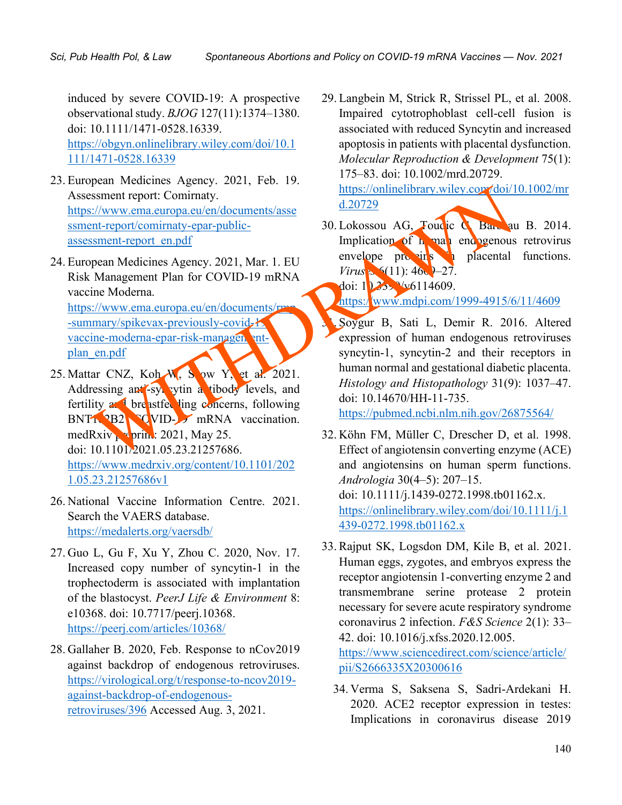induced by severe COVID-19: A prospective observational study. *BJOG* 127(11):1374–1380. doi: 10.1111/1471-0528.16339.

[https://obgyn.onlinelibrary.wiley.com/doi/10.1](https://obgyn.onlinelibrary.wiley.com/doi/10.1111/1471-0528.16339) [111/1471-0528.16339](https://obgyn.onlinelibrary.wiley.com/doi/10.1111/1471-0528.16339)

- 23. European Medicines Agency. 2021, Feb. 19. Assessment report: Comirnaty. https://www.ema.europa.eu/en/documents/asse ssment-report/comirnaty-epar-publicassessment-report\_en.pdf
- 24. European Medicines Agency. 2021, Mar. 1. EU Risk Management Plan for COVID-19 mRNA vaccine Moderna. https://www.ema.europa.eu/en/documents/rmp

-summary/spikevax-previously-covid-19 vaccine-moderna-epar-risk-managementplan\_en.pdf

- 25. Mattar CNZ, Koh  $W_1$ , S ow Y, et al. 2021. Addressing anti-syncytin a tibody levels, and fertility  $\alpha$  breastfeeding concerns, following BNT1<sup>9</sup>B2 CVID-19 mRNA vaccination. med $Rxiv$  print: 2021, May 25. doi: 10.1101/2021.05.23.21257686. [https://www.medrxiv.org/content/10.1101/202](https://www.medrxiv.org/content/10.1101/2021.05.23.21257686v1) [1.05.23.21257686v1](https://www.medrxiv.org/content/10.1101/2021.05.23.21257686v1) Exament report Comirnaty<br>
Exament report Comirnaty epar-public-<br>
Siment-report en.<br>
Magnetime Medicines Agency. 2021, Mar. 1. EU envelope procession of the placential<br>
Magnetime Medicines Agency. 2021, Mar. 1. EU envelope
- 26. National Vaccine Information Centre. 2021. Search the VAERS database. <https://medalerts.org/vaersdb/>
- 27. Guo L, Gu F, Xu Y, Zhou C. 2020, Nov. 17. Increased copy number of syncytin-1 in the trophectoderm is associated with implantation of the blastocyst. *PeerJ Life & Environment* 8: e10368. doi: 10.7717/peerj.10368. <https://peerj.com/articles/10368/>
- 28. Gallaher B. 2020, Feb. Response to nCov2019 against backdrop of endogenous retroviruses. [https://virological.org/t/response-to-ncov2019](https://virological.org/t/response-to-ncov2019-against-backdrop-of-endogenous-retroviruses/396) [against-backdrop-of-endogenous](https://virological.org/t/response-to-ncov2019-against-backdrop-of-endogenous-retroviruses/396)[retroviruses/396](https://virological.org/t/response-to-ncov2019-against-backdrop-of-endogenous-retroviruses/396) Accessed Aug. 3, 2021.

29. Langbein M, Strick R, Strissel PL, et al. 2008. Impaired cytotrophoblast cell-cell fusion is associated with reduced Syncytin and increased apoptosis in patients with placental dysfunction. *Molecular Reproduction & Development* 75(1): 175–83. doi: 10.1002/mrd.20729. [https://onlinelibrary.wiley.com/doi/10.1002/mr](https://onlinelibrary.wiley.com/doi/10.1002/mrd.20729)

d.20729

30. Lokossou AG, Toudic C, Barbau B. 2014. Implication of human endogenous retrovirus envelope proteins in placental functions. *Virus*  $\approx$  6(11):  $460 - 27$ .

doi:  $1233\sqrt{v}6114609$ .

https://www.mdpi.com/1999-4915/6/11/4609

31. Soygur B, Sati L, Demir R. 2016. Altered expression of human endogenous retroviruses syncytin-1, syncytin-2 and their receptors in human normal and gestational diabetic placenta. *Histology and Histopathology* 31(9): 1037–47. doi: 10.14670/HH-11-735.

https://pubmed.ncbi.nlm.nih.gov/26875564/

- 32. Köhn FM, Müller C, Drescher D, et al. 1998. Effect of angiotensin converting enzyme (ACE) and angiotensins on human sperm functions. *Andrologia* 30(4–5): 207–15. doi: 10.1111/j.1439-0272.1998.tb01162.x. [https://onlinelibrary.wiley.com/doi/10.1111/j.1](https://onlinelibrary.wiley.com/doi/10.1111/j.1439-0272.1998.tb01162.x) [439-0272.1998.tb01162.x](https://onlinelibrary.wiley.com/doi/10.1111/j.1439-0272.1998.tb01162.x)
- 33. Rajput SK, Logsdon DM, Kile B, et al. 2021. Human eggs, zygotes, and embryos express the receptor angiotensin 1-converting enzyme 2 and transmembrane serine protease 2 protein necessary for severe acute respiratory syndrome coronavirus 2 infection. *F&S Science* 2(1): 33– 42. doi: 10.1016/j.xfss.2020.12.005. [https://www.sciencedirect.com/science/article/](https://www.sciencedirect.com/science/article/pii/S2666335X20300616)

[pii/S2666335X20300616](https://www.sciencedirect.com/science/article/pii/S2666335X20300616)

34. Verma S, Saksena S, Sadri-Ardekani H. 2020. ACE2 receptor expression in testes: Implications in coronavirus disease 2019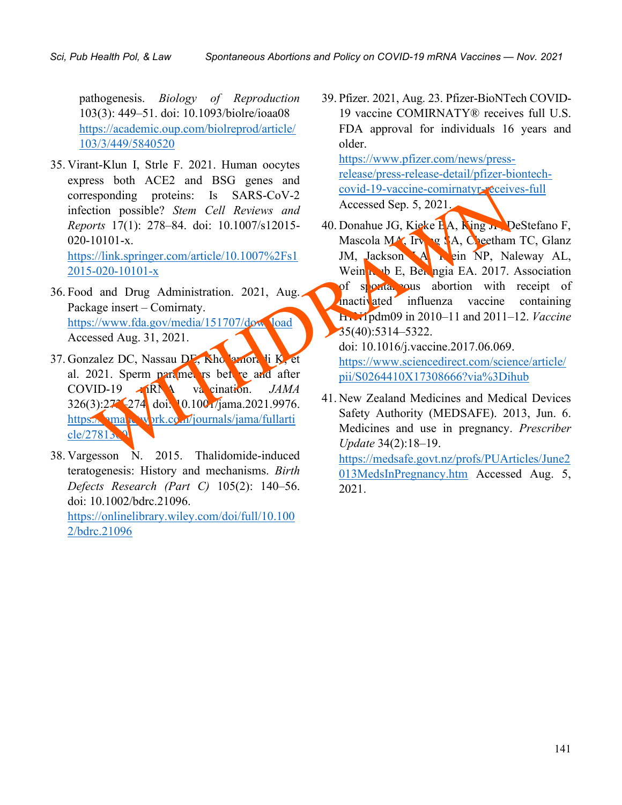pathogenesis. *Biology of Reproduction* 103(3): 449–51. doi: 10.1093/biolre/ioaa08 [https://academic.oup.com/biolreprod/article/](https://academic.oup.com/biolreprod/article/103/3/449/5840520) [103/3/449/5840520](https://academic.oup.com/biolreprod/article/103/3/449/5840520)

- 35. Virant-Klun I, Strle F. 2021. Human oocytes express both ACE2 and BSG genes and corresponding proteins: Is SARS-CoV-2 infection possible? *Stem Cell Reviews and Reports* 17(1): 278–84. doi: 10.1007/s12015- 020-10101-x. https://link.springer.com/article/10.1007%2Fs1 2015-020-10101-x
- 36. Food and Drug Administration. 2021, Aug. Package insert – Comirnaty. https://www.fda.gov/media/151707/download Accessed Aug. 31, 2021.
- 37. Gonzalez DC, Nassau DE, Khodamoradi K, et al. 2021. Sperm parameters bet re and after COVID-19 **MRNA** vacination. *JAMA* 326(3):273–274. doi: 10.1001/jama.2021.9976. https://wmahalalarti.com/journals/jama/fullarti cle/2781360
- 38. Vargesson N. 2015. Thalidomide-induced teratogenesis: History and mechanisms. *Birth Defects Research (Part C)* 105(2): 140–56. doi: 10.1002/bdrc.21096. [https://onlinelibrary.wiley.com/doi/full/10.100](https://onlinelibrary.wiley.com/doi/full/10.1002/bdrc.21096) [2/bdrc.21096](https://onlinelibrary.wiley.com/doi/full/10.1002/bdrc.21096)

39. Pfizer. 2021, Aug. 23. Pfizer-BioNTech COVID-19 vaccine COMIRNATY® receives full U.S. FDA approval for individuals 16 years and older.

[https://www.pfizer.com/news/press](https://www.pfizer.com/news/press-release/press-release-detail/pfizer-biontech-covid-19-vaccine-comirnatyr-receives-full)[release/press-release-detail/pfizer-biontech](https://www.pfizer.com/news/press-release/press-release-detail/pfizer-biontech-covid-19-vaccine-comirnatyr-receives-full)[covid-19-vaccine-comirnatyr-receives-full](https://www.pfizer.com/news/press-release/press-release-detail/pfizer-biontech-covid-19-vaccine-comirnatyr-receives-full) Accessed Sep. 5, 2021.

40. Donahue JG, Kieke BA, King J. DeStefano F, Mascola MA, Irving SA, Cheetham TC, Glanz JM, Jackson A Rein NP, Naleway AL, Wein  $\mathbf{u}$  b E, Belongia EA. 2017. Association of spontaneous abortion with receipt of inactivated influenza vaccine containing H1N1pdm09 in 2010–11 and 2011–12. *Vaccine* 35(40):5314–5322. [013MedsInPregnancy.htm](https://medsafe.govt.nz/profs/PUArticles/June2013MedsInPregnancy.htm) Accessed Aug. 5, [WIT](https://jamanetwork.com/journals/jama/fullarticle/2781360)[HD](https://www.fda.gov/media/151707/download)RAWN

doi: 10.1016/j.vaccine.2017.06.069. [https://www.sciencedirect.com/science/article/](https://www.sciencedirect.com/science/article/pii/S0264410X17308666?via%3Dihub) pii/S0264410X17308666?via%3Dihub

41. New Zealand Medicines and Medical Devices Safety Authority (MEDSAFE). 2013, Jun. 6. Medicines and use in pregnancy. *Prescriber Update* 34(2):18–19.

[https://medsafe.govt.nz/profs/PUArticles/June2](https://medsafe.govt.nz/profs/PUArticles/June2013MedsInPregnancy.htm) 2021.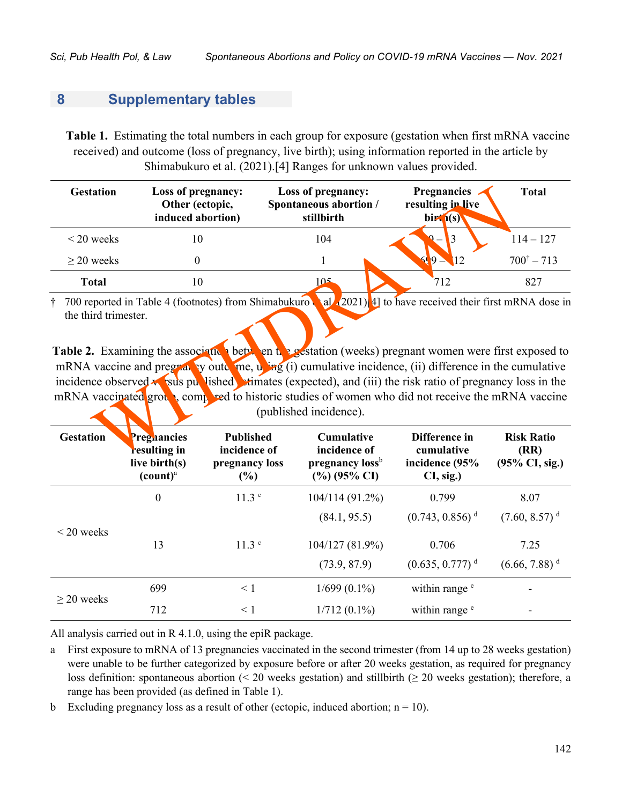## **8 Supplementary tables**

**Table 1.** Estimating the total numbers in each group for exposure (gestation when first mRNA vaccine received) and outcome (loss of pregnancy, live birth); using information reported in the article by Shimabukuro et al. (2021).[4] Ranges for unknown values provided.

| <b>Gestation</b>                                                                                                                                                                                                                                                                                                                                                                                                                                                                                                                                                                                             | Loss of pregnancy:<br>Other (ectopic,<br>induced abortion)                                 |                                  | Loss of pregnancy:<br>Spontaneous abortion /<br>stillbirth     |  | <b>Pregnancies</b><br>resulting in live<br>$\text{bir}(\text{s})$ | <b>Total</b>                                               |  |
|--------------------------------------------------------------------------------------------------------------------------------------------------------------------------------------------------------------------------------------------------------------------------------------------------------------------------------------------------------------------------------------------------------------------------------------------------------------------------------------------------------------------------------------------------------------------------------------------------------------|--------------------------------------------------------------------------------------------|----------------------------------|----------------------------------------------------------------|--|-------------------------------------------------------------------|------------------------------------------------------------|--|
| $<$ 20 weeks                                                                                                                                                                                                                                                                                                                                                                                                                                                                                                                                                                                                 | 10                                                                                         |                                  | 104                                                            |  | 3                                                                 | $114 - 127$                                                |  |
| $\geq$ 20 weeks                                                                                                                                                                                                                                                                                                                                                                                                                                                                                                                                                                                              | $\theta$                                                                                   |                                  | 1                                                              |  | $9 -$<br>51                                                       | $700^{\dagger} - 713$                                      |  |
| <b>Total</b>                                                                                                                                                                                                                                                                                                                                                                                                                                                                                                                                                                                                 | 10                                                                                         |                                  | 105                                                            |  | 712                                                               | 827                                                        |  |
| al (2021) 4] to have received their first mRNA dose in<br>† 700 reported in Table 4 (footnotes) from Shimabukuro<br>the third trimester.<br>Table 2. Examining the association between the gestation (weeks) pregnant women were first exposed to<br>mRNA vaccine and pregrat by oute me, u ing (i) cumulative incidence, (ii) difference in the cumulative<br>incidence observed $\star$ sus purified stimates (expected), and (iii) the risk ratio of pregnancy loss in the<br>mRNA vaccinated group, compreed to historic studies of women who did not receive the mRNA vaccine<br>(published incidence). |                                                                                            |                                  |                                                                |  |                                                                   |                                                            |  |
| <b>Gestation</b>                                                                                                                                                                                                                                                                                                                                                                                                                                                                                                                                                                                             | Pregnancies<br>resulting in<br>$\mathbf{P} = \mathbf{P} \cdot \mathbf{P} \cdot \mathbf{P}$ | <b>Published</b><br>incidence of | <b>Cumulative</b><br>incidence of<br>$\mathbf{1}$ $\mathbf{h}$ |  | Difference in<br>cumulative                                       | <b>Risk Ratio</b><br>(RR)<br>$\triangle$ FOLCI $\triangle$ |  |

| <b>Gestation</b> | Preghancies<br>resulting in<br>live birth $(s)$<br>$\left(\text{count}\right)^{\text{a}}$ | <b>Published</b><br>incidence of<br>pregnancy loss<br>(%) | <b>Cumulative</b><br>incidence of<br>pregnancy loss <sup>b</sup><br>$(\%)(95\% \text{ CI})$ | Difference in<br>cumulative<br>incidence (95%<br>CI, sig.) | <b>Risk Ratio</b><br>(RR)<br>$(95\% \text{ CI}, \text{sig.})$ |
|------------------|-------------------------------------------------------------------------------------------|-----------------------------------------------------------|---------------------------------------------------------------------------------------------|------------------------------------------------------------|---------------------------------------------------------------|
|                  | $\boldsymbol{0}$                                                                          | 11.3 <sup>c</sup>                                         | 104/114 (91.2%)                                                                             | 0.799                                                      | 8.07                                                          |
|                  |                                                                                           |                                                           | (84.1, 95.5)                                                                                | $(0.743, 0.856)$ <sup>d</sup>                              | $(7.60, 8.57)$ <sup>d</sup>                                   |
| $\leq$ 20 weeks  | 13                                                                                        | 11.3 <sup>c</sup>                                         | 104/127 (81.9%)                                                                             | 0.706                                                      | 7.25                                                          |
|                  |                                                                                           |                                                           | (73.9, 87.9)                                                                                | $(0.635, 0.777)$ <sup>d</sup>                              | $(6.66, 7.88)^d$                                              |
|                  | 699                                                                                       | $\leq 1$                                                  | $1/699(0.1\%)$                                                                              | within range <sup>e</sup>                                  |                                                               |
| $\geq$ 20 weeks  | 712                                                                                       | $\leq 1$                                                  | $1/712(0.1\%)$                                                                              | within range <sup>e</sup>                                  |                                                               |

All analysis carried out in R 4.1.0, using the epiR package.

a First exposure to mRNA of 13 pregnancies vaccinated in the second trimester (from 14 up to 28 weeks gestation) were unable to be further categorized by exposure before or after 20 weeks gestation, as required for pregnancy loss definition: spontaneous abortion (< 20 weeks gestation) and stillbirth ( $\geq$  20 weeks gestation); therefore, a range has been provided (as defined in Table 1).

b Excluding pregnancy loss as a result of other (ectopic, induced abortion;  $n = 10$ ).